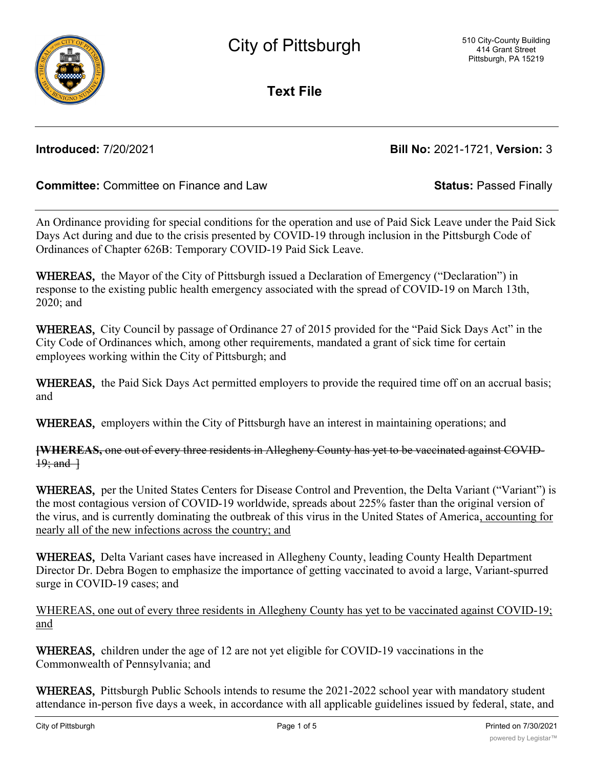

**Text File**

**Introduced:** 7/20/2021 **Bill No:** 2021-1721, **Version:** 3

# **Committee:** Committee on Finance and Law **Status:** Passed Finally

An Ordinance providing for special conditions for the operation and use of Paid Sick Leave under the Paid Sick Days Act during and due to the crisis presented by COVID-19 through inclusion in the Pittsburgh Code of Ordinances of Chapter 626B: Temporary COVID-19 Paid Sick Leave.

WHEREAS, the Mayor of the City of Pittsburgh issued a Declaration of Emergency ("Declaration") in response to the existing public health emergency associated with the spread of COVID-19 on March 13th, 2020; and

WHEREAS,  City Council by passage of Ordinance 27 of 2015 provided for the "Paid Sick Days Act" in the City Code of Ordinances which, among other requirements, mandated a grant of sick time for certain employees working within the City of Pittsburgh; and

WHEREAS, the Paid Sick Days Act permitted employers to provide the required time off on an accrual basis; and

WHEREAS, employers within the City of Pittsburgh have an interest in maintaining operations; and

**[WHEREAS,** one out of every three residents in Allegheny County has yet to be vaccinated against COVID- $19$ ; and  $\overline{\phantom{a}}$ 

WHEREAS, per the United States Centers for Disease Control and Prevention, the Delta Variant ("Variant") is the most contagious version of COVID-19 worldwide, spreads about 225% faster than the original version of the virus, and is currently dominating the outbreak of this virus in the United States of America, accounting for nearly all of the new infections across the country; and

WHEREAS,  Delta Variant cases have increased in Allegheny County, leading County Health Department Director Dr. Debra Bogen to emphasize the importance of getting vaccinated to avoid a large, Variant-spurred surge in COVID-19 cases; and

WHEREAS, one out of every three residents in Allegheny County has yet to be vaccinated against COVID-19; and

WHEREAS, children under the age of 12 are not yet eligible for COVID-19 vaccinations in the Commonwealth of Pennsylvania; and

WHEREAS, Pittsburgh Public Schools intends to resume the 2021-2022 school year with mandatory student attendance in-person five days a week, in accordance with all applicable guidelines issued by federal, state, and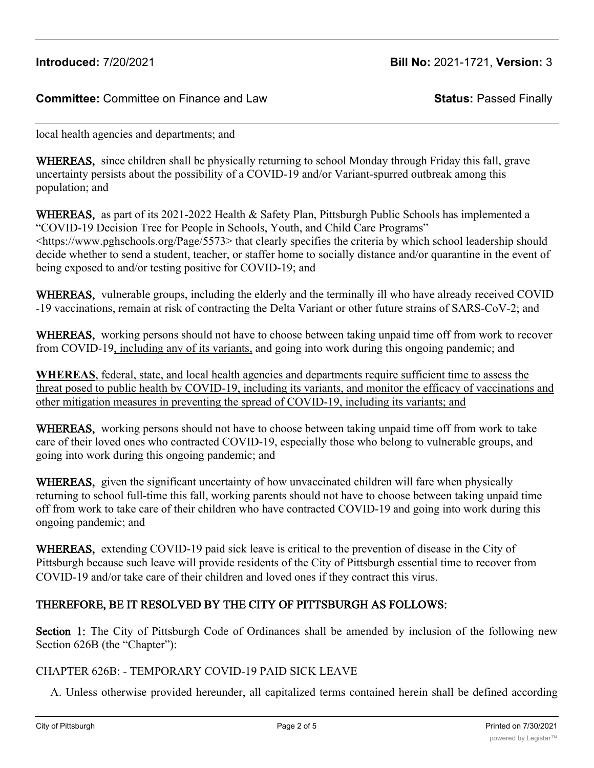## **Committee:** Committee on Finance and Law **Status:** Passed Finally

local health agencies and departments; and

WHEREAS, since children shall be physically returning to school Monday through Friday this fall, grave uncertainty persists about the possibility of a COVID-19 and/or Variant-spurred outbreak among this population; and

WHEREAS, as part of its 2021-2022 Health & Safety Plan, Pittsburgh Public Schools has implemented a "COVID-19 Decision Tree for People in Schools, Youth, and Child Care Programs" <https://www.pghschools.org/Page/5573> that clearly specifies the criteria by which school leadership should decide whether to send a student, teacher, or staffer home to socially distance and/or quarantine in the event of being exposed to and/or testing positive for COVID-19; and

WHEREAS, vulnerable groups, including the elderly and the terminally ill who have already received COVID -19 vaccinations, remain at risk of contracting the Delta Variant or other future strains of SARS-CoV-2; and

WHEREAS, working persons should not have to choose between taking unpaid time off from work to recover from COVID-19, including any of its variants, and going into work during this ongoing pandemic; and

**WHEREAS**, federal, state, and local health agencies and departments require sufficient time to assess the threat posed to public health by COVID-19, including its variants, and monitor the efficacy of vaccinations and other mitigation measures in preventing the spread of COVID-19, including its variants; and

WHEREAS, working persons should not have to choose between taking unpaid time off from work to take care of their loved ones who contracted COVID-19, especially those who belong to vulnerable groups, and going into work during this ongoing pandemic; and

WHEREAS, given the significant uncertainty of how unvaccinated children will fare when physically returning to school full-time this fall, working parents should not have to choose between taking unpaid time off from work to take care of their children who have contracted COVID-19 and going into work during this ongoing pandemic; and

WHEREAS, extending COVID-19 paid sick leave is critical to the prevention of disease in the City of Pittsburgh because such leave will provide residents of the City of Pittsburgh essential time to recover from COVID-19 and/or take care of their children and loved ones if they contract this virus.

## THEREFORE, BE IT RESOLVED BY THE CITY OF PITTSBURGH AS FOLLOWS:

Section 1: The City of Pittsburgh Code of Ordinances shall be amended by inclusion of the following new Section 626B (the "Chapter"):

## CHAPTER 626B: - TEMPORARY COVID-19 PAID SICK LEAVE

A. Unless otherwise provided hereunder, all capitalized terms contained herein shall be defined according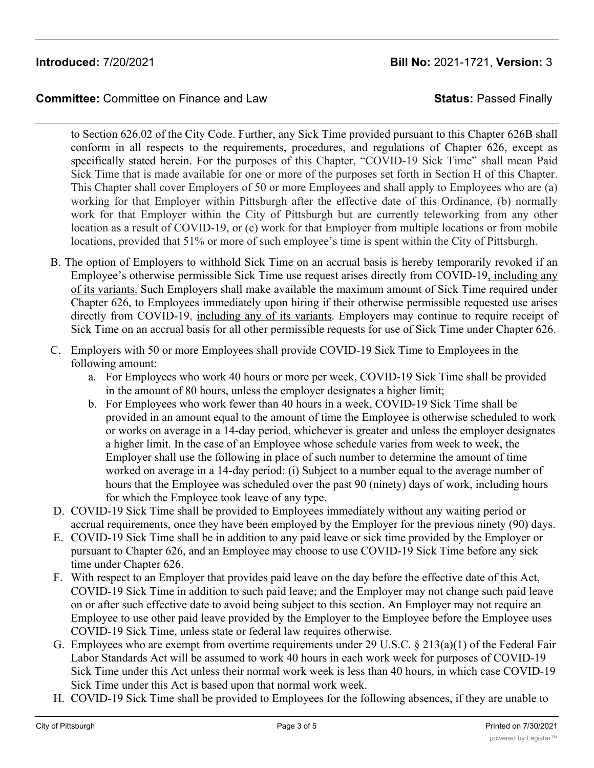# **Introduced:** 7/20/2021 **Bill No:** 2021-1721, **Version:** 3

**Committee:** Committee on Finance and Law **Status:** Passed Finally

to Section 626.02 of the City Code. Further, any Sick Time provided pursuant to this Chapter 626B shall conform in all respects to the requirements, procedures, and regulations of Chapter 626, except as specifically stated herein. For the purposes of this Chapter, "COVID-19 Sick Time" shall mean Paid Sick Time that is made available for one or more of the purposes set forth in Section H of this Chapter. This Chapter shall cover Employers of 50 or more Employees and shall apply to Employees who are (a) working for that Employer within Pittsburgh after the effective date of this Ordinance, (b) normally work for that Employer within the City of Pittsburgh but are currently teleworking from any other location as a result of COVID-19, or (c) work for that Employer from multiple locations or from mobile locations, provided that 51% or more of such employee's time is spent within the City of Pittsburgh.

- B. The option of Employers to withhold Sick Time on an accrual basis is hereby temporarily revoked if an Employee's otherwise permissible Sick Time use request arises directly from COVID-19, including any of its variants. Such Employers shall make available the maximum amount of Sick Time required under Chapter 626, to Employees immediately upon hiring if their otherwise permissible requested use arises directly from COVID-19, including any of its variants. Employers may continue to require receipt of Sick Time on an accrual basis for all other permissible requests for use of Sick Time under Chapter 626.
- C. Employers with 50 or more Employees shall provide COVID-19 Sick Time to Employees in the following amount:
	- a. For Employees who work 40 hours or more per week, COVID-19 Sick Time shall be provided in the amount of 80 hours, unless the employer designates a higher limit;
	- b. For Employees who work fewer than 40 hours in a week, COVID-19 Sick Time shall be provided in an amount equal to the amount of time the Employee is otherwise scheduled to work or works on average in a 14-day period, whichever is greater and unless the employer designates a higher limit. In the case of an Employee whose schedule varies from week to week, the Employer shall use the following in place of such number to determine the amount of time worked on average in a 14-day period: (i) Subject to a number equal to the average number of hours that the Employee was scheduled over the past 90 (ninety) days of work, including hours for which the Employee took leave of any type.
- D. COVID-19 Sick Time shall be provided to Employees immediately without any waiting period or accrual requirements, once they have been employed by the Employer for the previous ninety (90) days.
- E. COVID-19 Sick Time shall be in addition to any paid leave or sick time provided by the Employer or pursuant to Chapter 626, and an Employee may choose to use COVID-19 Sick Time before any sick time under Chapter 626.
- F. With respect to an Employer that provides paid leave on the day before the effective date of this Act, COVID-19 Sick Time in addition to such paid leave; and the Employer may not change such paid leave on or after such effective date to avoid being subject to this section. An Employer may not require an Employee to use other paid leave provided by the Employer to the Employee before the Employee uses COVID-19 Sick Time, unless state or federal law requires otherwise.
- G. Employees who are exempt from overtime requirements under 29 U.S.C. § 213(a)(1) of the Federal Fair Labor Standards Act will be assumed to work 40 hours in each work week for purposes of COVID-19 Sick Time under this Act unless their normal work week is less than 40 hours, in which case COVID-19 Sick Time under this Act is based upon that normal work week.
- H. COVID-19 Sick Time shall be provided to Employees for the following absences, if they are unable to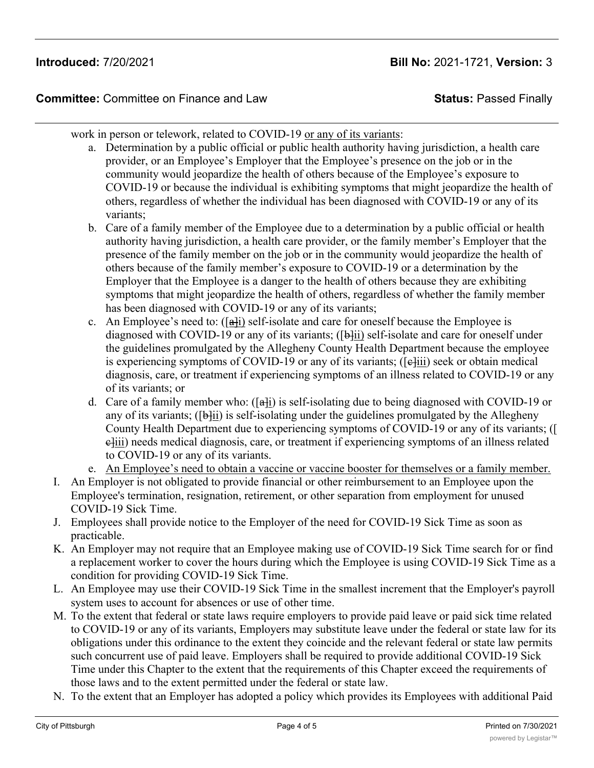## **Committee:** Committee on Finance and Law **Status:** Passed Finally

work in person or telework, related to COVID-19 or any of its variants:

- a. Determination by a public official or public health authority having jurisdiction, a health care provider, or an Employee's Employer that the Employee's presence on the job or in the community would jeopardize the health of others because of the Employee's exposure to COVID-19 or because the individual is exhibiting symptoms that might jeopardize the health of others, regardless of whether the individual has been diagnosed with COVID-19 or any of its variants;
- b. Care of a family member of the Employee due to a determination by a public official or health authority having jurisdiction, a health care provider, or the family member's Employer that the presence of the family member on the job or in the community would jeopardize the health of others because of the family member's exposure to COVID-19 or a determination by the Employer that the Employee is a danger to the health of others because they are exhibiting symptoms that might jeopardize the health of others, regardless of whether the family member has been diagnosed with COVID-19 or any of its variants;
- c. An Employee's need to:  $([a]_i)$  self-isolate and care for oneself because the Employee is diagnosed with COVID-19 or any of its variants; ([b]ii) self-isolate and care for oneself under the guidelines promulgated by the Allegheny County Health Department because the employee is experiencing symptoms of COVID-19 or any of its variants; ([e]iii) seek or obtain medical diagnosis, care, or treatment if experiencing symptoms of an illness related to COVID-19 or any of its variants; or
- d. Care of a family member who:  $([a]_i)$  is self-isolating due to being diagnosed with COVID-19 or any of its variants;  $(\phi$ ii) is self-isolating under the guidelines promulgated by the Allegheny County Health Department due to experiencing symptoms of COVID-19 or any of its variants; ([ c]iii) needs medical diagnosis, care, or treatment if experiencing symptoms of an illness related to COVID-19 or any of its variants.
- e. An Employee's need to obtain a vaccine or vaccine booster for themselves or a family member.
- I. An Employer is not obligated to provide financial or other reimbursement to an Employee upon the Employee's termination, resignation, retirement, or other separation from employment for unused COVID-19 Sick Time.
- J. Employees shall provide notice to the Employer of the need for COVID-19 Sick Time as soon as practicable.
- K. An Employer may not require that an Employee making use of COVID-19 Sick Time search for or find a replacement worker to cover the hours during which the Employee is using COVID-19 Sick Time as a condition for providing COVID-19 Sick Time.
- L. An Employee may use their COVID-19 Sick Time in the smallest increment that the Employer's payroll system uses to account for absences or use of other time.
- M. To the extent that federal or state laws require employers to provide paid leave or paid sick time related to COVID-19 or any of its variants, Employers may substitute leave under the federal or state law for its obligations under this ordinance to the extent they coincide and the relevant federal or state law permits such concurrent use of paid leave. Employers shall be required to provide additional COVID-19 Sick Time under this Chapter to the extent that the requirements of this Chapter exceed the requirements of those laws and to the extent permitted under the federal or state law.
- N. To the extent that an Employer has adopted a policy which provides its Employees with additional Paid